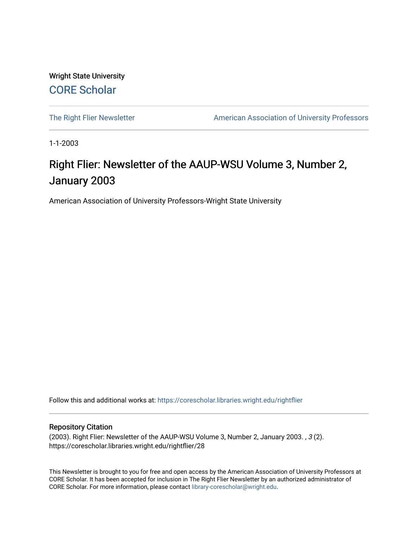Wright State University [CORE Scholar](https://corescholar.libraries.wright.edu/)

[The Right Flier Newsletter](https://corescholar.libraries.wright.edu/rightflier) **American Association of University Professors** 

1-1-2003

## Right Flier: Newsletter of the AAUP-WSU Volume 3, Number 2, January 2003

American Association of University Professors-Wright State University

Follow this and additional works at: [https://corescholar.libraries.wright.edu/rightflier](https://corescholar.libraries.wright.edu/rightflier?utm_source=corescholar.libraries.wright.edu%2Frightflier%2F28&utm_medium=PDF&utm_campaign=PDFCoverPages) 

#### Repository Citation

(2003). Right Flier: Newsletter of the AAUP-WSU Volume 3, Number 2, January 2003. , 3 (2). https://corescholar.libraries.wright.edu/rightflier/28

This Newsletter is brought to you for free and open access by the American Association of University Professors at CORE Scholar. It has been accepted for inclusion in The Right Flier Newsletter by an authorized administrator of CORE Scholar. For more information, please contact [library-corescholar@wright.edu](mailto:library-corescholar@wright.edu).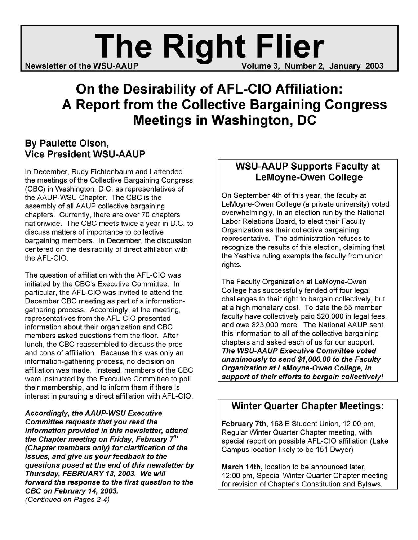# Newsletter of the WSU-AAUP **Right Flier** Volume 3, Number 2, January 2003

# **On the Desirability of AFL-CIO Affiliation: A Report from the Collective Bargaining Congress Meetings in Washington, DC**

#### By Paulette Olson, Vice President WSU-AAUP

In December, Rudy Fichtenbaum and I attended the meetings of the Collective Bargaining Congress (CBC) in Washington, D.C. as representatives of the AAUP-WSU Chapter. The CBC is the assembly of all AAUP collective bargaining chapters. Currently, there are over 70 chapters nationwide. The CBC meets twice a year in D.C. to discuss matters of importance to collective bargaining members. In December, the discussion centered on the desirability of direct affiliation with the AFL-CIO.

The question of affiliation with the AFL-CIO was initiated by the CBC's Executive Committee. In particular, the AFL-CIO was invited to attend the December CBC meeting as part of a informationgathering process. Accordingly, at the meeting, representatives from the AFL-CIO presented information about their organization and CBC members asked questions from the floor. After lunch, the CBC reassembled to discuss the pros and cons of affiliation. Because this was only an information-gathering process, no decision on affiliation was made. Instead, members of the CBC were instructed by the Executive Committee to poll their membership, and to inform them if there is interest in pursuing a direct affiliation with AFL-CIO.

Accordingly, the AAUP-WSU Executive Committee requests that you read the information provided in this newsletter, attend the Chapter meeting on Friday, February *th*  (Chapter members only) for clarification of the issues, and give us your feedback to the questions posed at the end of this newsletter by Thursday, FEBRUARY 13, 2003. We will forward the response to the first question to the CBC on February 14, 2003. (Continued on Pages 2-4)

#### WSU-AAUP Supports Faculty at LeMoyne-Owen College

On September 4th of this year, the faculty at LeMoyne-Owen College (a private university) voted overwhelmingly, in an election run by the National Labor Relations Board, to elect their Faculty Organization as their collective bargaining representative. The administration refuses to recognize the results of this election, claiming that the Yeshiva ruling exempts the faculty from union rights.

The Faculty Organization at LeMoyne-Owen College has successfully fended off four legal challenges to their right to bargain collectively, but at a high monetary cost. To date the 55 member faculty have collectively paid \$20,000 in legal fees, and owe \$23,000 more. The National AAUP sent this information to all of the collective bargaining chapters and asked each of us for our support. The WSU-AAUP Executive Committee voted unanimously to send \$1,000.00 to the Faculty Organization at LeMoyne-Owen College, in support of their efforts to bargain collectively!

#### Winter Quarter Chapter Meetings:

February 7th, 163 E Student Union, 12:00 pm, Regular Winter Quarter Chapter meeting, with special report on possible AFL-CIO affiliation (Lake Campus location likely to be 151 Dwyer)

March 14th, location to be announced later, 12:00 pm, Special Winter Quarter Chapter meeting for revision of Chapter's Constitution and Bylaws.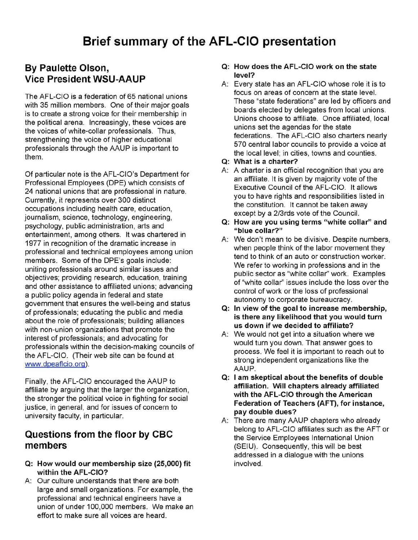#### By Paulette Olson, Vice President WSU-AAUP

The AFL-CIO is a federation of 65 national unions with 35 million members. One of their major goals is to create a strong voice for their membership in the political arena. Increasingly, these voices are the voices of white-collar professionals. Thus, strengthening the voice of higher educational professionals through the AAUP is important to them.

Of particular note is the AFL-CIO's Department for Professional Employees (OPE) which consists of 24 national unions that are professional in nature. Currently, it represents over 300 distinct occupations including health care, education, journalism, science, technology, engineering, psychology, public administration, arts and entertainment, among others. It was chartered in 1977 in recognition of the dramatic increase in professional and technical employees among union members. Some of the OPE's goals include: uniting professionals around similar issues and objectives; providing research, education, training and other assistance to affiliated unions; advancing a public policy agenda in federal and state government that ensures the well-being and status of professionals; educating the public and media about the role of professionals; building alliances with non-union organizations that promote the interest of professionals; and advocating for professionals within the decision-making councils of the AFL-CIO. (Their web site can be found at www.dpeaflcio.org).

Finally, the AFL-CIO encouraged the AAUP to affiliate by arguing that the larger the organization, the stronger the political voice in fighting for social justice, in general, and for issues of concern to university faculty, in particular.

#### Questions from the floor by CBC members

- Q: How would our membership size (25,000) fit within the AFL-CIO?
- A: Our culture understands that there are both large and small organizations. For example, the professional and technical engineers have a union of under 100,000 members. We make an effort to make sure all voices are heard.
- Q: How does the AFL-CIO work on the state level?
- A: Every state has an AFL-CIO whose role it is to focus on areas of concern at the state level. These "state federations" are led by officers and boards elected by delegates from local unions. Unions choose to affiliate. Once affiliated, local unions set the agendas for the state ' federations. The AFL-CIO also charters nearly 570 central labor councils to provide a voice at the local level; in cities, towns and counties.
- Q: What is a charter?
- A: A charter is an official recognition that you are an affiliate. It is given by majority vote of the Executive Council of the AFL-CIO. It allows you to have rights and responsibilities listed in the constitution. It cannot be taken away except by a 2/3rds vote of the Council.
- Q: How are you using terms "white collar" and "blue collar?"
- A: We don't mean to be divisive. Despite numbers, when people think of the labor movement they tend to think of an auto or construction worker. We refer to working in professions and in the public sector as "white collar" work. Examples of "white collar" issues include the loss over the control of work or the loss of professional autonomy to corporate bureaucracy.
- Q: In view of the goal to increase membership, is there any likelihood that you would turn us down if we decided to affiliate?
- A: We would not get into a situation where we would turn you down. That answer goes to process. We feel it is important to reach out to strong independent organizations like the AAUP.
- Q: I am skeptical about the benefits of double affiliation. Will chapters already affiliated with the AFL-CIO through the American Federation of Teachers (AFT), for instance, pay double dues?
- A: There are many AAUP chapters who already belong to AFL-CIO affiliates such as the AFT or the Service Employees International Union (SEIU). Consequently, this will be best addressed in a dialogue with the unions involved.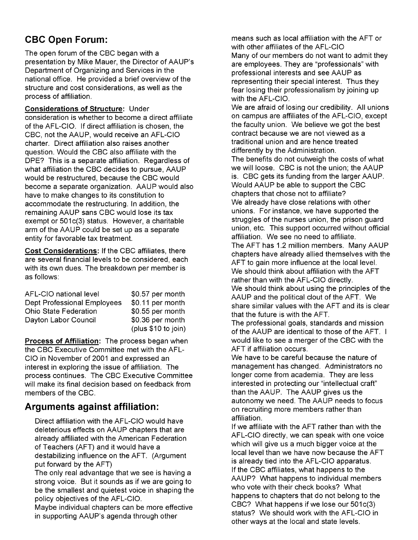### **CBC Open Forum:**

The open forum of the CBC began with a presentation by Mike Mauer, the Director of AAUP's Department of Organizing and Services in the national office. He provided a brief overview of the structure and cost considerations, as well as the process of affiliation.

#### Considerations of Structure: Under

consideration is whether to become a direct affiliate of the AFL-CIO. If direct affiliation is chosen, the CSC, not the AAUP, would receive an AFL-CIO charter. Direct affiliation also raises another question. Would the CSC also affiliate with the DPE? This is a separate affiliation. Regardless of what affiliation the CBC decides to pursue, AAUP would be restructured, because the CSC would become a separate organization. AAUP would also have to make changes to its constitution to accommodate the restructuring. In addition, the remaining AAUP sans CSC would lose its tax exempt or 501c(3) status. However, a charitable arm of the AAUP could be set up as a separate entity for favorable tax treatment.

Cost Considerations: If the CBC affiliates, there are several financial levels to be considered, each with its own dues. The breakdown per member is as follows:

| AFL-CIO national level             | \$0.57 per month    |
|------------------------------------|---------------------|
| <b>Dept Professional Employees</b> | \$0.11 per month    |
| <b>Ohio State Federation</b>       | \$0.55 per month    |
| Dayton Labor Council               | \$0.36 per month    |
|                                    | (plus \$10 to join) |

Process of Affiliation: The process began when the CSC Executive Committee met with the AFL-CIO in November of 2001 and expressed an interest in exploring the issue of affiliation. The process continues. The CSC Executive Committee will make its final decision based on feedback from members of the CBC.

#### **Arguments against affiliation:**

Direct affiliation with the AFL-CIO would have deleterious effects on AAUP chapters that are already affiliated with the American Federation of Teachers (AFT) and it would have a destabilizing influence on the AFT. (Argument put forward by the AFT)

The only real advantage that we see is having a strong voice. But it sounds as if we are going to be the smallest and quietest voice in shaping the policy objectives of the AFL-CIO.

Maybe individual chapters can be more effective in supporting AAUP's agenda through other

means such as local affiliation with the AFT or with other affiliates of the AFL-CIO Many of our members do not want to admit they are employees. They are "professionals" with professional interests and see AAUP as representing their special interest. Thus they fear losing their professionalism by joining up with the AFL-CIO.

We are afraid of losing our credibility. All unions on campus are affiliates of the AFL-CIO, except the faculty union. We believe we got the best contract because we are not viewed as a traditional union and are hence treated differently by the Administration.

The benefits do not outweigh the costs of what we will loose. CBC is not the union; the AAUP is. CBC gets its funding from the larger AAUP. Would AAUP be able to support the CBC chapters that chose not to affiliate? We already have close relations with other unions. For instance, we have supported the struggles of the nurses union, the prison guard union, etc. This support occurred without official affiliation. We see no need to affiliate. The AFT has 1.2 million members. Many AAUP chapters have already allied themselves with the AFT to gain more influence at the local level. We should think about affiliation with the AFT rather than with the AFL-CIO directly. We should think about using the principles of the AAUP and the political clout of the AFT. We share similar values with the AFT and its is clear that the future is with the AFT.

The professional goals, standards and mission of the AAUP are identical to those of the AFT. I would like to see a merger of the CBC with the AFT if affiliation occurs.

We have to be careful because the nature of management has changed. Administrators no longer come from academia. They are less interested in protecting our "intellectual craft" than the AAUP. The AAUP gives us the autonomy we need. The AAUP needs to focus on recruiting more members rather than affiliation.

If we affiliate with the AFT rather than with the AFL-CIO directly, we can speak with one voice which will give us a much bigger voice at the local level than we have now because the AFT is already tied into the AFL-CIO apparatus. If the CSC affiliates, what happens to the AAUP? What happens to individual members who vote with their check books? What happens to chapters that do not belong to the CBC? What happens if we lose our 501c(3) status? We should work with the AFL-CIO in other ways at the local and state levels.